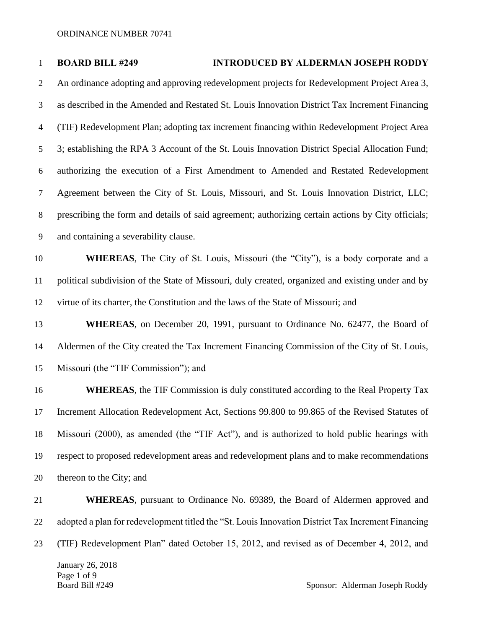# **BOARD BILL #249 INTRODUCED BY ALDERMAN JOSEPH RODDY**

 An ordinance adopting and approving redevelopment projects for Redevelopment Project Area 3, as described in the Amended and Restated St. Louis Innovation District Tax Increment Financing (TIF) Redevelopment Plan; adopting tax increment financing within Redevelopment Project Area 3; establishing the RPA 3 Account of the St. Louis Innovation District Special Allocation Fund; authorizing the execution of a First Amendment to Amended and Restated Redevelopment Agreement between the City of St. Louis, Missouri, and St. Louis Innovation District, LLC; prescribing the form and details of said agreement; authorizing certain actions by City officials; and containing a severability clause.

 **WHEREAS**, The City of St. Louis, Missouri (the "City"), is a body corporate and a political subdivision of the State of Missouri, duly created, organized and existing under and by virtue of its charter, the Constitution and the laws of the State of Missouri; and

 **WHEREAS**, on December 20, 1991, pursuant to Ordinance No. 62477, the Board of Aldermen of the City created the Tax Increment Financing Commission of the City of St. Louis, Missouri (the "TIF Commission"); and

**WHEREAS**, the TIF Commission is duly constituted according to the Real Property Tax Increment Allocation Redevelopment Act, Sections 99.800 to 99.865 of the Revised Statutes of Missouri (2000), as amended (the "TIF Act"), and is authorized to hold public hearings with respect to proposed redevelopment areas and redevelopment plans and to make recommendations thereon to the City; and

 **WHEREAS**, pursuant to Ordinance No. 69389, the Board of Aldermen approved and adopted a plan for redevelopment titled the "St. Louis Innovation District Tax Increment Financing (TIF) Redevelopment Plan" dated October 15, 2012, and revised as of December 4, 2012, and

January 26, 2018 Page 1 of 9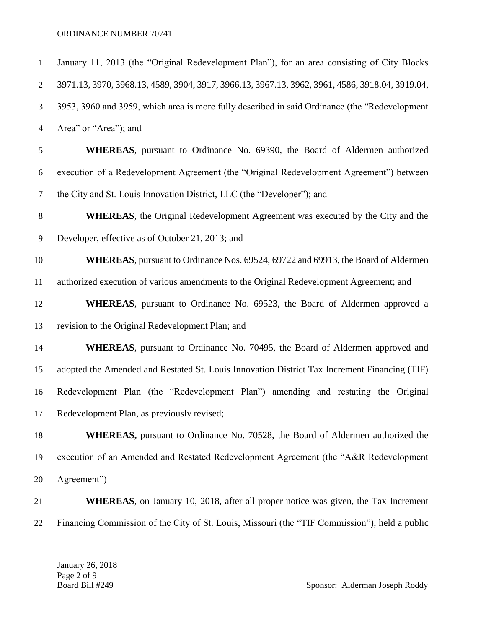| $\mathbf{1}$   | January 11, 2013 (the "Original Redevelopment Plan"), for an area consisting of City Blocks     |
|----------------|-------------------------------------------------------------------------------------------------|
| $\overline{2}$ | 3971.13, 3970, 3968.13, 4589, 3904, 3917, 3966.13, 3967.13, 3962, 3961, 4586, 3918.04, 3919.04, |
| 3              | 3953, 3960 and 3959, which area is more fully described in said Ordinance (the "Redevelopment"  |
| $\overline{4}$ | Area" or "Area"); and                                                                           |
| 5              | WHEREAS, pursuant to Ordinance No. 69390, the Board of Aldermen authorized                      |
| 6              | execution of a Redevelopment Agreement (the "Original Redevelopment Agreement") between         |
| $\overline{7}$ | the City and St. Louis Innovation District, LLC (the "Developer"); and                          |
| $8\,$          | <b>WHEREAS</b> , the Original Redevelopment Agreement was executed by the City and the          |
| $\overline{9}$ | Developer, effective as of October 21, 2013; and                                                |
| 10             | <b>WHEREAS</b> , pursuant to Ordinance Nos. 69524, 69722 and 69913, the Board of Aldermen       |
| 11             | authorized execution of various amendments to the Original Redevelopment Agreement; and         |
| 12             | <b>WHEREAS</b> , pursuant to Ordinance No. 69523, the Board of Aldermen approved a              |
| 13             | revision to the Original Redevelopment Plan; and                                                |
| 14             | <b>WHEREAS</b> , pursuant to Ordinance No. 70495, the Board of Aldermen approved and            |
| 15             | adopted the Amended and Restated St. Louis Innovation District Tax Increment Financing (TIF)    |
| 16             | Redevelopment Plan (the "Redevelopment Plan") amending and restating the Original               |
| 17             | Redevelopment Plan, as previously revised;                                                      |
| 18             | WHEREAS, pursuant to Ordinance No. 70528, the Board of Aldermen authorized the                  |
| 19             | execution of an Amended and Restated Redevelopment Agreement (the "A&R Redevelopment            |
| 20             | Agreement")                                                                                     |
| 21             | <b>WHEREAS</b> , on January 10, 2018, after all proper notice was given, the Tax Increment      |
| 22             | Financing Commission of the City of St. Louis, Missouri (the "TIF Commission"), held a public   |

January 26, 2018 Page 2 of 9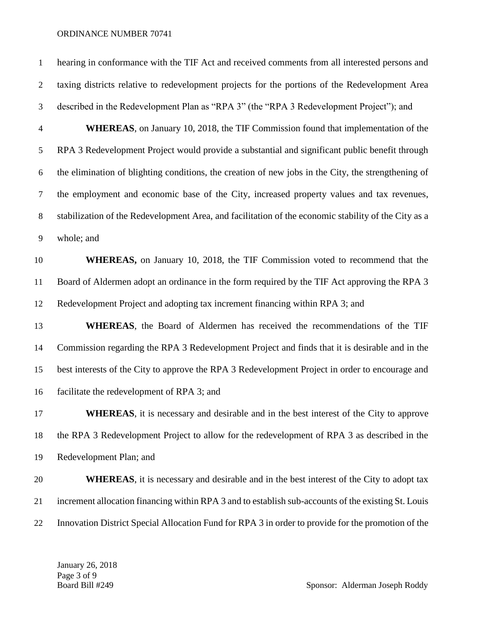hearing in conformance with the TIF Act and received comments from all interested persons and taxing districts relative to redevelopment projects for the portions of the Redevelopment Area described in the Redevelopment Plan as "RPA 3" (the "RPA 3 Redevelopment Project"); and **WHEREAS**, on January 10, 2018, the TIF Commission found that implementation of the RPA 3 Redevelopment Project would provide a substantial and significant public benefit through the elimination of blighting conditions, the creation of new jobs in the City, the strengthening of the employment and economic base of the City, increased property values and tax revenues, stabilization of the Redevelopment Area, and facilitation of the economic stability of the City as a whole; and **WHEREAS,** on January 10, 2018, the TIF Commission voted to recommend that the Board of Aldermen adopt an ordinance in the form required by the TIF Act approving the RPA 3 Redevelopment Project and adopting tax increment financing within RPA 3; and **WHEREAS**, the Board of Aldermen has received the recommendations of the TIF Commission regarding the RPA 3 Redevelopment Project and finds that it is desirable and in the best interests of the City to approve the RPA 3 Redevelopment Project in order to encourage and facilitate the redevelopment of RPA 3; and

 **WHEREAS**, it is necessary and desirable and in the best interest of the City to approve the RPA 3 Redevelopment Project to allow for the redevelopment of RPA 3 as described in the Redevelopment Plan; and

**WHEREAS**, it is necessary and desirable and in the best interest of the City to adopt tax increment allocation financing within RPA 3 and to establish sub-accounts of the existing St. Louis Innovation District Special Allocation Fund for RPA 3 in order to provide for the promotion of the

January 26, 2018 Page 3 of 9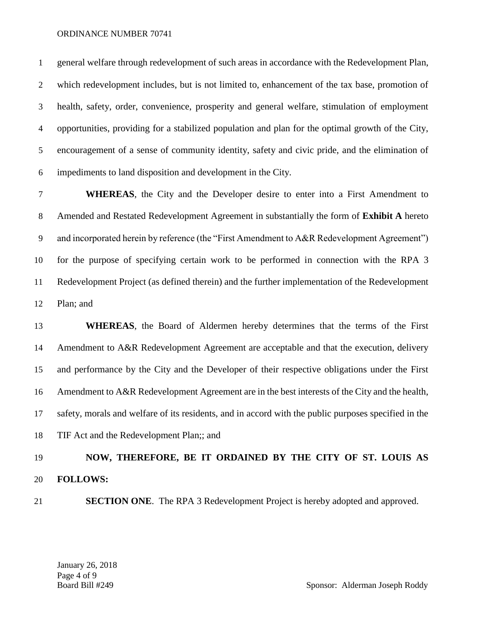general welfare through redevelopment of such areas in accordance with the Redevelopment Plan, which redevelopment includes, but is not limited to, enhancement of the tax base, promotion of health, safety, order, convenience, prosperity and general welfare, stimulation of employment opportunities, providing for a stabilized population and plan for the optimal growth of the City, encouragement of a sense of community identity, safety and civic pride, and the elimination of impediments to land disposition and development in the City.

 **WHEREAS**, the City and the Developer desire to enter into a First Amendment to Amended and Restated Redevelopment Agreement in substantially the form of **Exhibit A** hereto and incorporated herein by reference (the "First Amendment to A&R Redevelopment Agreement") for the purpose of specifying certain work to be performed in connection with the RPA 3 Redevelopment Project (as defined therein) and the further implementation of the Redevelopment Plan; and

 **WHEREAS**, the Board of Aldermen hereby determines that the terms of the First Amendment to A&R Redevelopment Agreement are acceptable and that the execution, delivery and performance by the City and the Developer of their respective obligations under the First Amendment to A&R Redevelopment Agreement are in the best interests of the City and the health, safety, morals and welfare of its residents, and in accord with the public purposes specified in the TIF Act and the Redevelopment Plan;; and

# **NOW, THEREFORE, BE IT ORDAINED BY THE CITY OF ST. LOUIS AS FOLLOWS:**

**SECTION ONE**. The RPA 3 Redevelopment Project is hereby adopted and approved.

January 26, 2018 Page 4 of 9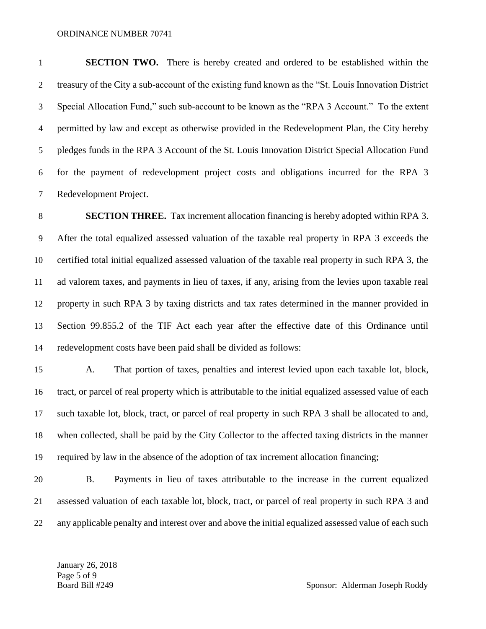**SECTION TWO.** There is hereby created and ordered to be established within the treasury of the City a sub-account of the existing fund known as the "St. Louis Innovation District Special Allocation Fund," such sub-account to be known as the "RPA 3 Account." To the extent permitted by law and except as otherwise provided in the Redevelopment Plan, the City hereby pledges funds in the RPA 3 Account of the St. Louis Innovation District Special Allocation Fund for the payment of redevelopment project costs and obligations incurred for the RPA 3 Redevelopment Project.

 **SECTION THREE.** Tax increment allocation financing is hereby adopted within RPA 3. After the total equalized assessed valuation of the taxable real property in RPA 3 exceeds the certified total initial equalized assessed valuation of the taxable real property in such RPA 3, the ad valorem taxes, and payments in lieu of taxes, if any, arising from the levies upon taxable real property in such RPA 3 by taxing districts and tax rates determined in the manner provided in Section 99.855.2 of the TIF Act each year after the effective date of this Ordinance until redevelopment costs have been paid shall be divided as follows:

 A. That portion of taxes, penalties and interest levied upon each taxable lot, block, tract, or parcel of real property which is attributable to the initial equalized assessed value of each such taxable lot, block, tract, or parcel of real property in such RPA 3 shall be allocated to and, when collected, shall be paid by the City Collector to the affected taxing districts in the manner required by law in the absence of the adoption of tax increment allocation financing;

 B. Payments in lieu of taxes attributable to the increase in the current equalized assessed valuation of each taxable lot, block, tract, or parcel of real property in such RPA 3 and any applicable penalty and interest over and above the initial equalized assessed value of each such

January 26, 2018 Page 5 of 9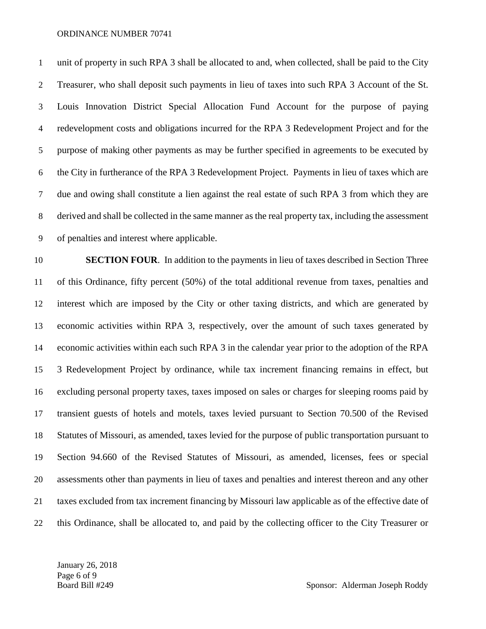unit of property in such RPA 3 shall be allocated to and, when collected, shall be paid to the City Treasurer, who shall deposit such payments in lieu of taxes into such RPA 3 Account of the St. Louis Innovation District Special Allocation Fund Account for the purpose of paying redevelopment costs and obligations incurred for the RPA 3 Redevelopment Project and for the purpose of making other payments as may be further specified in agreements to be executed by the City in furtherance of the RPA 3 Redevelopment Project. Payments in lieu of taxes which are due and owing shall constitute a lien against the real estate of such RPA 3 from which they are derived and shall be collected in the same manner as the real property tax, including the assessment of penalties and interest where applicable.

 **SECTION FOUR**. In addition to the payments in lieu of taxes described in Section Three of this Ordinance, fifty percent (50%) of the total additional revenue from taxes, penalties and interest which are imposed by the City or other taxing districts, and which are generated by economic activities within RPA 3, respectively, over the amount of such taxes generated by economic activities within each such RPA 3 in the calendar year prior to the adoption of the RPA 3 Redevelopment Project by ordinance, while tax increment financing remains in effect, but excluding personal property taxes, taxes imposed on sales or charges for sleeping rooms paid by transient guests of hotels and motels, taxes levied pursuant to Section 70.500 of the Revised Statutes of Missouri, as amended, taxes levied for the purpose of public transportation pursuant to Section 94.660 of the Revised Statutes of Missouri, as amended, licenses, fees or special assessments other than payments in lieu of taxes and penalties and interest thereon and any other taxes excluded from tax increment financing by Missouri law applicable as of the effective date of this Ordinance, shall be allocated to, and paid by the collecting officer to the City Treasurer or

January 26, 2018 Page 6 of 9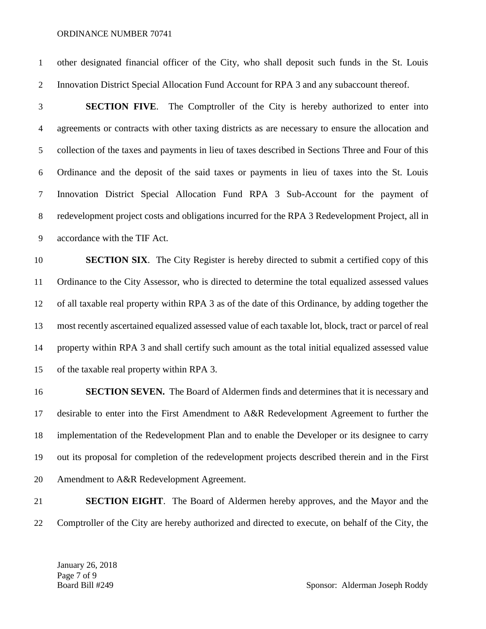other designated financial officer of the City, who shall deposit such funds in the St. Louis Innovation District Special Allocation Fund Account for RPA 3 and any subaccount thereof.

 **SECTION FIVE**. The Comptroller of the City is hereby authorized to enter into agreements or contracts with other taxing districts as are necessary to ensure the allocation and collection of the taxes and payments in lieu of taxes described in Sections Three and Four of this Ordinance and the deposit of the said taxes or payments in lieu of taxes into the St. Louis Innovation District Special Allocation Fund RPA 3 Sub-Account for the payment of redevelopment project costs and obligations incurred for the RPA 3 Redevelopment Project, all in accordance with the TIF Act.

 **SECTION SIX**. The City Register is hereby directed to submit a certified copy of this Ordinance to the City Assessor, who is directed to determine the total equalized assessed values of all taxable real property within RPA 3 as of the date of this Ordinance, by adding together the most recently ascertained equalized assessed value of each taxable lot, block, tract or parcel of real property within RPA 3 and shall certify such amount as the total initial equalized assessed value of the taxable real property within RPA 3.

**SECTION SEVEN.** The Board of Aldermen finds and determines that it is necessary and desirable to enter into the First Amendment to A&R Redevelopment Agreement to further the implementation of the Redevelopment Plan and to enable the Developer or its designee to carry out its proposal for completion of the redevelopment projects described therein and in the First Amendment to A&R Redevelopment Agreement.

 **SECTION EIGHT**. The Board of Aldermen hereby approves, and the Mayor and the Comptroller of the City are hereby authorized and directed to execute, on behalf of the City, the

January 26, 2018 Page 7 of 9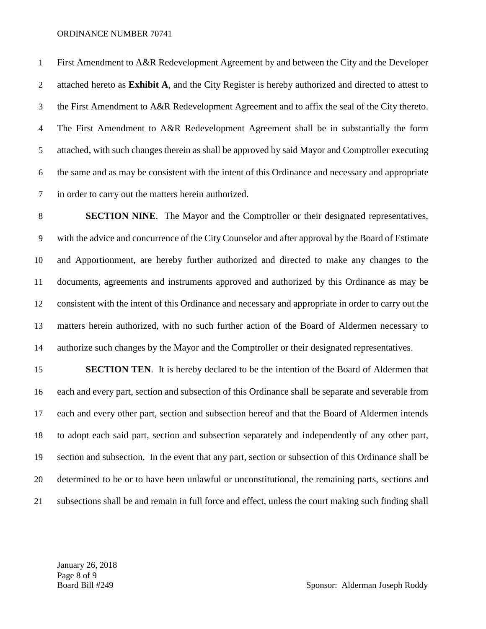First Amendment to A&R Redevelopment Agreement by and between the City and the Developer attached hereto as **Exhibit A**, and the City Register is hereby authorized and directed to attest to the First Amendment to A&R Redevelopment Agreement and to affix the seal of the City thereto. The First Amendment to A&R Redevelopment Agreement shall be in substantially the form attached, with such changes therein as shall be approved by said Mayor and Comptroller executing the same and as may be consistent with the intent of this Ordinance and necessary and appropriate

in order to carry out the matters herein authorized.

 **SECTION NINE**. The Mayor and the Comptroller or their designated representatives, with the advice and concurrence of the City Counselor and after approval by the Board of Estimate and Apportionment, are hereby further authorized and directed to make any changes to the documents, agreements and instruments approved and authorized by this Ordinance as may be consistent with the intent of this Ordinance and necessary and appropriate in order to carry out the matters herein authorized, with no such further action of the Board of Aldermen necessary to authorize such changes by the Mayor and the Comptroller or their designated representatives.

**SECTION TEN.** It is hereby declared to be the intention of the Board of Aldermen that each and every part, section and subsection of this Ordinance shall be separate and severable from each and every other part, section and subsection hereof and that the Board of Aldermen intends to adopt each said part, section and subsection separately and independently of any other part, section and subsection. In the event that any part, section or subsection of this Ordinance shall be determined to be or to have been unlawful or unconstitutional, the remaining parts, sections and subsections shall be and remain in full force and effect, unless the court making such finding shall

January 26, 2018 Page 8 of 9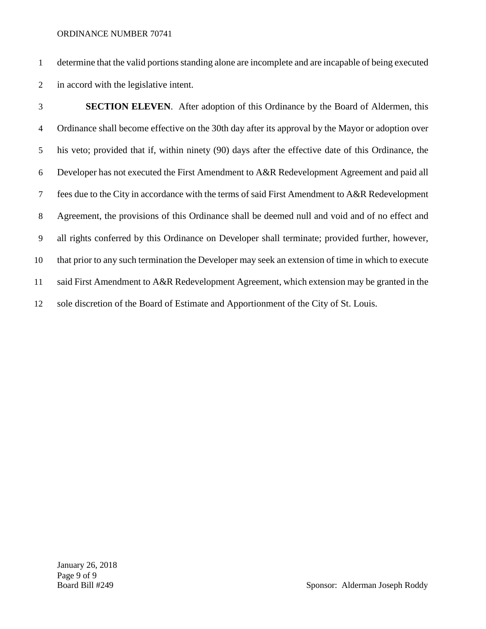determine that the valid portions standing alone are incomplete and are incapable of being executed in accord with the legislative intent.

 **SECTION ELEVEN**. After adoption of this Ordinance by the Board of Aldermen, this Ordinance shall become effective on the 30th day after its approval by the Mayor or adoption over his veto; provided that if, within ninety (90) days after the effective date of this Ordinance, the Developer has not executed the First Amendment to A&R Redevelopment Agreement and paid all fees due to the City in accordance with the terms of said First Amendment to A&R Redevelopment Agreement, the provisions of this Ordinance shall be deemed null and void and of no effect and all rights conferred by this Ordinance on Developer shall terminate; provided further, however, that prior to any such termination the Developer may seek an extension of time in which to execute said First Amendment to A&R Redevelopment Agreement, which extension may be granted in the sole discretion of the Board of Estimate and Apportionment of the City of St. Louis.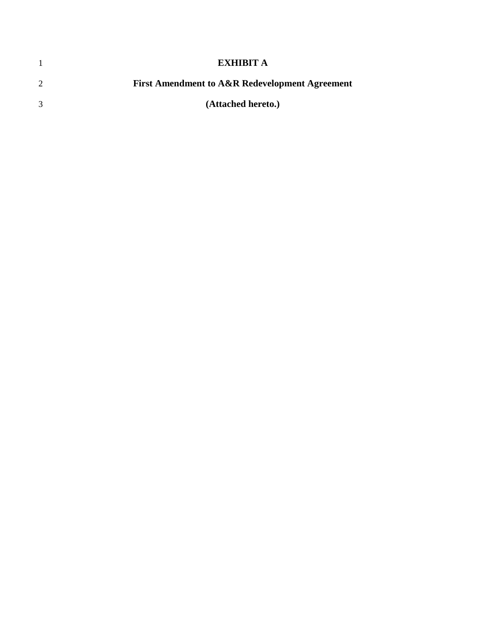|   | EXHIBIT A                                                 |
|---|-----------------------------------------------------------|
| 2 | <b>First Amendment to A&amp;R Redevelopment Agreement</b> |
| 3 | (Attached hereto.)                                        |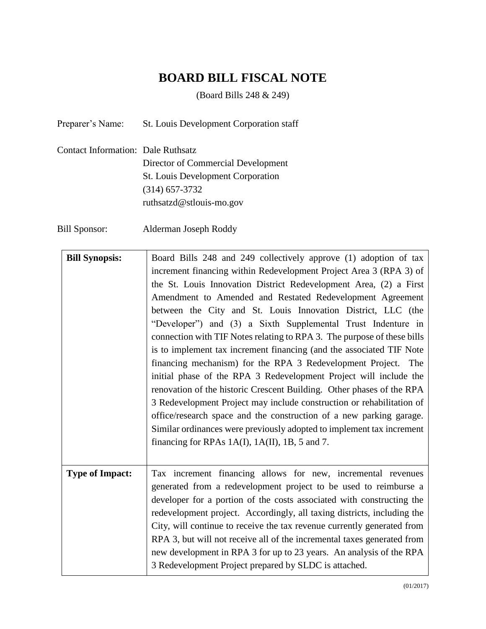# **BOARD BILL FISCAL NOTE**

(Board Bills 248 & 249)

Preparer's Name: St. Louis Development Corporation staff

Contact Information: Dale Ruthsatz Director of Commercial Development St. Louis Development Corporation (314) 657-3732 ruthsatzd@stlouis-mo.gov

Bill Sponsor: Alderman Joseph Roddy

| <b>Bill Synopsis:</b>  | Board Bills 248 and 249 collectively approve (1) adoption of tax        |
|------------------------|-------------------------------------------------------------------------|
|                        | increment financing within Redevelopment Project Area 3 (RPA 3) of      |
|                        | the St. Louis Innovation District Redevelopment Area, (2) a First       |
|                        | Amendment to Amended and Restated Redevelopment Agreement               |
|                        | between the City and St. Louis Innovation District, LLC (the            |
|                        | "Developer") and (3) a Sixth Supplemental Trust Indenture in            |
|                        | connection with TIF Notes relating to RPA 3. The purpose of these bills |
|                        | is to implement tax increment financing (and the associated TIF Note    |
|                        | financing mechanism) for the RPA 3 Redevelopment Project. The           |
|                        | initial phase of the RPA 3 Redevelopment Project will include the       |
|                        | renovation of the historic Crescent Building. Other phases of the RPA   |
|                        | 3 Redevelopment Project may include construction or rehabilitation of   |
|                        | office/research space and the construction of a new parking garage.     |
|                        | Similar ordinances were previously adopted to implement tax increment   |
|                        | financing for RPAs 1A(I), 1A(II), 1B, 5 and 7.                          |
|                        |                                                                         |
| <b>Type of Impact:</b> | Tax increment financing allows for new, incremental revenues            |
|                        | generated from a redevelopment project to be used to reimburse a        |
|                        | developer for a portion of the costs associated with constructing the   |
|                        | redevelopment project. Accordingly, all taxing districts, including the |
|                        | City, will continue to receive the tax revenue currently generated from |
|                        | RPA 3, but will not receive all of the incremental taxes generated from |
|                        | new development in RPA 3 for up to 23 years. An analysis of the RPA     |
|                        | 3 Redevelopment Project prepared by SLDC is attached.                   |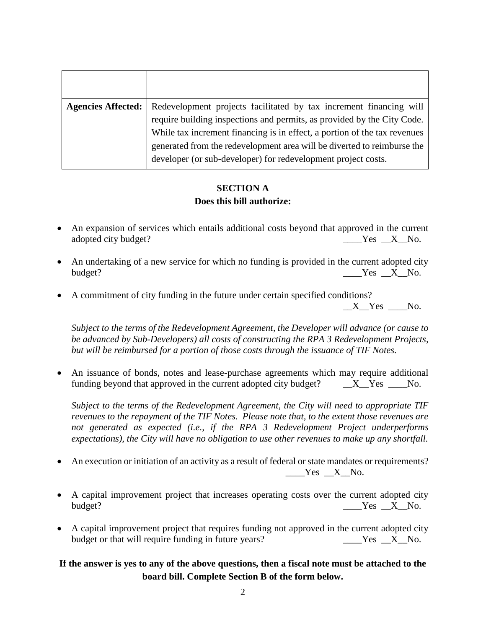| <b>Agencies Affected:</b> | Redevelopment projects facilitated by tax increment financing will<br>require building inspections and permits, as provided by the City Code.<br>While tax increment financing is in effect, a portion of the tax revenues<br>generated from the redevelopment area will be diverted to reimburse the<br>developer (or sub-developer) for redevelopment project costs. |
|---------------------------|------------------------------------------------------------------------------------------------------------------------------------------------------------------------------------------------------------------------------------------------------------------------------------------------------------------------------------------------------------------------|

# **SECTION A Does this bill authorize:**

- An expansion of services which entails additional costs beyond that approved in the current adopted city budget? \_\_\_\_Yes \_\_X\_\_No.
- An undertaking of a new service for which no funding is provided in the current adopted city budget? \_\_\_\_Yes \_\_X\_\_No.
- A commitment of city funding in the future under certain specified conditions?

*Subject to the terms of the Redevelopment Agreement, the Developer will advance (or cause to be advanced by Sub-Developers) all costs of constructing the RPA 3 Redevelopment Projects, but will be reimbursed for a portion of those costs through the issuance of TIF Notes.* 

 An issuance of bonds, notes and lease-purchase agreements which may require additional funding beyond that approved in the current adopted city budget?  $X$ <sup>N</sup>es  $\_\_\_\$ No.

*Subject to the terms of the Redevelopment Agreement, the City will need to appropriate TIF revenues to the repayment of the TIF Notes. Please note that, to the extent those revenues are not generated as expected (i.e., if the RPA 3 Redevelopment Project underperforms expectations), the City will have no obligation to use other revenues to make up any shortfall.*

- An execution or initiation of an activity as a result of federal or state mandates or requirements?  $Yes$   $X$  No.
- A capital improvement project that increases operating costs over the current adopted city budget? No. 2012 and the set of the set of the set of the set of the set of the set of the set of the set of the set of the set of the set of the set of the set of the set of the set of the set of the set of the set of the
- A capital improvement project that requires funding not approved in the current adopted city budget or that will require funding in future years?  $\begin{array}{c} \text{Yes} \quad X \quad \text{No.} \end{array}$

# **If the answer is yes to any of the above questions, then a fiscal note must be attached to the board bill. Complete Section B of the form below.**

X Yes No.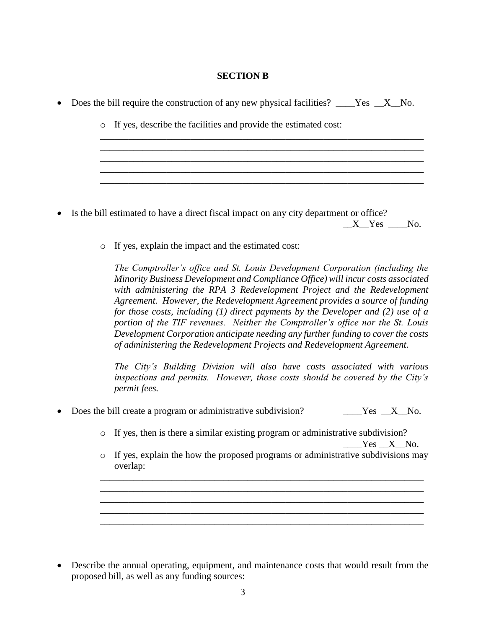## **SECTION B**

\_\_\_\_\_\_\_\_\_\_\_\_\_\_\_\_\_\_\_\_\_\_\_\_\_\_\_\_\_\_\_\_\_\_\_\_\_\_\_\_\_\_\_\_\_\_\_\_\_\_\_\_\_\_\_\_\_\_\_\_\_\_\_\_\_\_\_\_

\_\_\_\_\_\_\_\_\_\_\_\_\_\_\_\_\_\_\_\_\_\_\_\_\_\_\_\_\_\_\_\_\_\_\_\_\_\_\_\_\_\_\_\_\_\_\_\_\_\_\_\_\_\_\_\_\_\_\_\_\_\_\_\_\_\_\_\_ \_\_\_\_\_\_\_\_\_\_\_\_\_\_\_\_\_\_\_\_\_\_\_\_\_\_\_\_\_\_\_\_\_\_\_\_\_\_\_\_\_\_\_\_\_\_\_\_\_\_\_\_\_\_\_\_\_\_\_\_\_\_\_\_\_\_\_\_ \_\_\_\_\_\_\_\_\_\_\_\_\_\_\_\_\_\_\_\_\_\_\_\_\_\_\_\_\_\_\_\_\_\_\_\_\_\_\_\_\_\_\_\_\_\_\_\_\_\_\_\_\_\_\_\_\_\_\_\_\_\_\_\_\_\_\_\_

 $\frac{1}{2}$  ,  $\frac{1}{2}$  ,  $\frac{1}{2}$  ,  $\frac{1}{2}$  ,  $\frac{1}{2}$  ,  $\frac{1}{2}$  ,  $\frac{1}{2}$  ,  $\frac{1}{2}$  ,  $\frac{1}{2}$  ,  $\frac{1}{2}$  ,  $\frac{1}{2}$  ,  $\frac{1}{2}$  ,  $\frac{1}{2}$  ,  $\frac{1}{2}$  ,  $\frac{1}{2}$  ,  $\frac{1}{2}$  ,  $\frac{1}{2}$  ,  $\frac{1}{2}$  ,  $\frac{1$ 

|  | • Does the bill require the construction of any new physical facilities? $\_\_\_\$ Yes $\_\_\$ X $\_\$ No. |  |  |  |  |  |  |  |  |
|--|------------------------------------------------------------------------------------------------------------|--|--|--|--|--|--|--|--|
|--|------------------------------------------------------------------------------------------------------------|--|--|--|--|--|--|--|--|

o If yes, describe the facilities and provide the estimated cost:

- Is the bill estimated to have a direct fiscal impact on any city department or office? X Yes No.
	- o If yes, explain the impact and the estimated cost:

*The Comptroller's office and St. Louis Development Corporation (including the Minority Business Development and Compliance Office) will incur costs associated with administering the RPA 3 Redevelopment Project and the Redevelopment Agreement. However, the Redevelopment Agreement provides a source of funding for those costs, including (1) direct payments by the Developer and (2) use of a portion of the TIF revenues. Neither the Comptroller's office nor the St. Louis Development Corporation anticipate needing any further funding to cover the costs of administering the Redevelopment Projects and Redevelopment Agreement.*

*The City's Building Division will also have costs associated with various inspections and permits. However, those costs should be covered by the City's permit fees.*

- Does the bill create a program or administrative subdivision? Yes X No.
	- o If yes, then is there a similar existing program or administrative subdivision? Yes X No.
	- o If yes, explain the how the proposed programs or administrative subdivisions may overlap:

\_\_\_\_\_\_\_\_\_\_\_\_\_\_\_\_\_\_\_\_\_\_\_\_\_\_\_\_\_\_\_\_\_\_\_\_\_\_\_\_\_\_\_\_\_\_\_\_\_\_\_\_\_\_\_\_\_\_\_\_\_\_\_\_\_\_\_\_ \_\_\_\_\_\_\_\_\_\_\_\_\_\_\_\_\_\_\_\_\_\_\_\_\_\_\_\_\_\_\_\_\_\_\_\_\_\_\_\_\_\_\_\_\_\_\_\_\_\_\_\_\_\_\_\_\_\_\_\_\_\_\_\_\_\_\_\_ \_\_\_\_\_\_\_\_\_\_\_\_\_\_\_\_\_\_\_\_\_\_\_\_\_\_\_\_\_\_\_\_\_\_\_\_\_\_\_\_\_\_\_\_\_\_\_\_\_\_\_\_\_\_\_\_\_\_\_\_\_\_\_\_\_\_\_\_

\_\_\_\_\_\_\_\_\_\_\_\_\_\_\_\_\_\_\_\_\_\_\_\_\_\_\_\_\_\_\_\_\_\_\_\_\_\_\_\_\_\_\_\_\_\_\_\_\_\_\_\_\_\_\_\_\_\_\_\_\_\_\_\_\_\_\_\_

 Describe the annual operating, equipment, and maintenance costs that would result from the proposed bill, as well as any funding sources: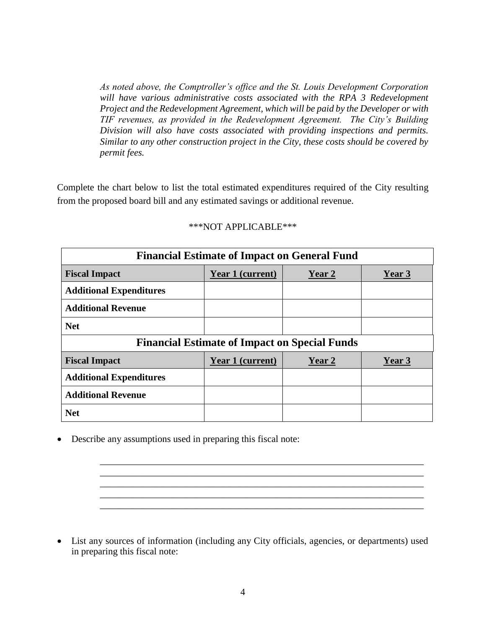*As noted above, the Comptroller's office and the St. Louis Development Corporation*  will have various administrative costs associated with the RPA 3 Redevelopment *Project and the Redevelopment Agreement, which will be paid by the Developer or with TIF revenues, as provided in the Redevelopment Agreement. The City's Building Division will also have costs associated with providing inspections and permits. Similar to any other construction project in the City, these costs should be covered by permit fees.*

Complete the chart below to list the total estimated expenditures required of the City resulting from the proposed board bill and any estimated savings or additional revenue.

| <b>Financial Estimate of Impact on General Fund</b>  |                         |        |        |  |  |  |  |
|------------------------------------------------------|-------------------------|--------|--------|--|--|--|--|
| <b>Fiscal Impact</b>                                 | Year 1 (current)        | Year 2 | Year 3 |  |  |  |  |
| <b>Additional Expenditures</b>                       |                         |        |        |  |  |  |  |
| <b>Additional Revenue</b>                            |                         |        |        |  |  |  |  |
| <b>Net</b>                                           |                         |        |        |  |  |  |  |
| <b>Financial Estimate of Impact on Special Funds</b> |                         |        |        |  |  |  |  |
|                                                      |                         |        |        |  |  |  |  |
| <b>Fiscal Impact</b>                                 | <b>Year 1 (current)</b> | Year 2 | Year 3 |  |  |  |  |
| <b>Additional Expenditures</b>                       |                         |        |        |  |  |  |  |
| <b>Additional Revenue</b>                            |                         |        |        |  |  |  |  |

## \*\*\*NOT APPLICABLE\*\*\*

Describe any assumptions used in preparing this fiscal note:

 List any sources of information (including any City officials, agencies, or departments) used in preparing this fiscal note:

\_\_\_\_\_\_\_\_\_\_\_\_\_\_\_\_\_\_\_\_\_\_\_\_\_\_\_\_\_\_\_\_\_\_\_\_\_\_\_\_\_\_\_\_\_\_\_\_\_\_\_\_\_\_\_\_\_\_\_\_\_\_\_\_\_\_\_\_ \_\_\_\_\_\_\_\_\_\_\_\_\_\_\_\_\_\_\_\_\_\_\_\_\_\_\_\_\_\_\_\_\_\_\_\_\_\_\_\_\_\_\_\_\_\_\_\_\_\_\_\_\_\_\_\_\_\_\_\_\_\_\_\_\_\_\_\_ \_\_\_\_\_\_\_\_\_\_\_\_\_\_\_\_\_\_\_\_\_\_\_\_\_\_\_\_\_\_\_\_\_\_\_\_\_\_\_\_\_\_\_\_\_\_\_\_\_\_\_\_\_\_\_\_\_\_\_\_\_\_\_\_\_\_\_\_

\_\_\_\_\_\_\_\_\_\_\_\_\_\_\_\_\_\_\_\_\_\_\_\_\_\_\_\_\_\_\_\_\_\_\_\_\_\_\_\_\_\_\_\_\_\_\_\_\_\_\_\_\_\_\_\_\_\_\_\_\_\_\_\_\_\_\_\_